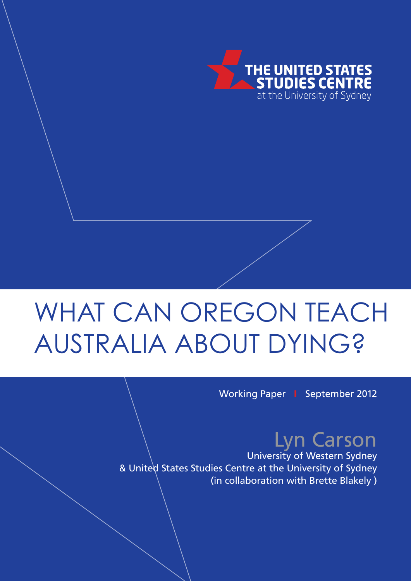

# WHAT CAN OREGON TEACH Australia about dying?

Working PaperISeptember 2012

Lyn Carson

University of Western Sydney & United States Studies Centre at the University of Sydney (in collaboration with Brette Blakely )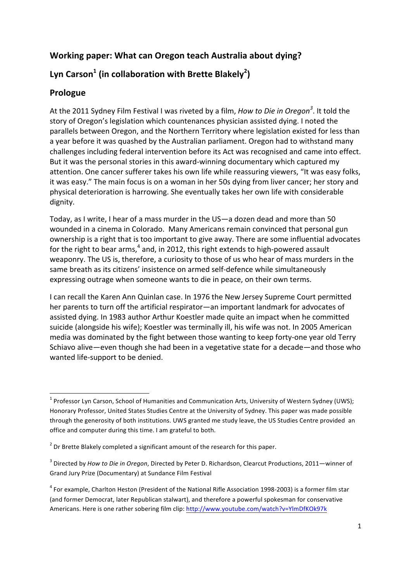## **Working paper: What can Oregon teach Australia about dying?**

## Lyn Carson<sup>1</sup> (in collaboration with Brette Blakely<sup>2</sup>)

## **Prologue**

At the 2011 Sydney Film Festival I was riveted by a film*, How to Die in Oregon<sup>3</sup>.* It told the story of Oregon's legislation which countenances physician assisted dying. I noted the parallels between Oregon, and the Northern Territory where legislation existed for less than a year before it was quashed by the Australian parliament. Oregon had to withstand many challenges including federal intervention before its Act was recognised and came into effect. But it was the personal stories in this award-winning documentary which captured my attention. One cancer sufferer takes his own life while reassuring viewers, "It was easy folks, it was easy." The main focus is on a woman in her 50s dying from liver cancer; her story and physical deterioration is harrowing. She eventually takes her own life with considerable dignity. 

Today, as I write, I hear of a mass murder in the US—a dozen dead and more than 50 wounded in a cinema in Colorado. Many Americans remain convinced that personal gun ownership is a right that is too important to give away. There are some influential advocates for the right to bear arms,<sup>4</sup> and, in 2012, this right extends to high-powered assault weaponry. The US is, therefore, a curiosity to those of us who hear of mass murders in the same breath as its citizens' insistence on armed self-defence while simultaneously expressing outrage when someone wants to die in peace, on their own terms.

I can recall the Karen Ann Quinlan case. In 1976 the New Jersey Supreme Court permitted her parents to turn off the artificial respirator—an important landmark for advocates of assisted dying. In 1983 author Arthur Koestler made quite an impact when he committed suicide (alongside his wife); Koestler was terminally ill, his wife was not. In 2005 American media was dominated by the fight between those wanting to keep forty-one year old Terry Schiavo alive—even though she had been in a vegetative state for a decade—and those who wanted life-support to be denied.

<sup>&</sup>lt;sup>1</sup> Professor Lyn Carson, School of Humanities and Communication Arts, University of Western Sydney (UWS); Honorary Professor, United States Studies Centre at the University of Sydney. This paper was made possible through the generosity of both institutions. UWS granted me study leave, the US Studies Centre provided an office and computer during this time. I am grateful to both.

 $2$  Dr Brette Blakely completed a significant amount of the research for this paper.

<sup>&</sup>lt;sup>3</sup> Directed by *How to Die in Oregon*, Directed by Peter D. Richardson, Clearcut Productions, 2011—winner of Grand Jury Prize (Documentary) at Sundance Film Festival

 $4$  For example, Charlton Heston (President of the National Rifle Association 1998-2003) is a former film star (and former Democrat, later Republican stalwart), and therefore a powerful spokesman for conservative Americans. Here is one rather sobering film clip: http://www.youtube.com/watch?v=YlmDfKOk97k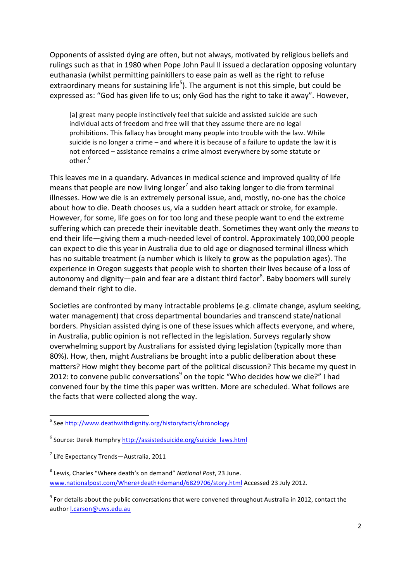Opponents of assisted dying are often, but not always, motivated by religious beliefs and rulings such as that in 1980 when Pope John Paul II issued a declaration opposing voluntary euthanasia (whilst permitting painkillers to ease pain as well as the right to refuse extraordinary means for sustaining life<sup>5</sup>). The argument is not this simple, but could be expressed as: "God has given life to us; only God has the right to take it away". However,

[a] great many people instinctively feel that suicide and assisted suicide are such individual acts of freedom and free will that they assume there are no legal prohibitions. This fallacy has brought many people into trouble with the law. While suicide is no longer a crime  $-$  and where it is because of a failure to update the law it is not enforced – assistance remains a crime almost everywhere by some statute or other.<sup>6</sup>

This leaves me in a quandary. Advances in medical science and improved quality of life means that people are now living longer<sup>7</sup> and also taking longer to die from terminal illnesses. How we die is an extremely personal issue, and, mostly, no-one has the choice about how to die. Death chooses us, via a sudden heart attack or stroke, for example. However, for some, life goes on for too long and these people want to end the extreme suffering which can precede their inevitable death. Sometimes they want only the *means* to end their life-giving them a much-needed level of control. Approximately 100,000 people can expect to die this year in Australia due to old age or diagnosed terminal illness which has no suitable treatment (a number which is likely to grow as the population ages). The experience in Oregon suggests that people wish to shorten their lives because of a loss of autonomy and dignity—pain and fear are a distant third factor<sup>8</sup>. Baby boomers will surely demand their right to die.

Societies are confronted by many intractable problems (e.g. climate change, asylum seeking, water management) that cross departmental boundaries and transcend state/national borders. Physician assisted dying is one of these issues which affects everyone, and where, in Australia, public opinion is not reflected in the legislation. Surveys regularly show overwhelming support by Australians for assisted dying legislation (typically more than 80%). How, then, might Australians be brought into a public deliberation about these matters? How might they become part of the political discussion? This became my quest in 2012: to convene public conversations<sup>9</sup> on the topic "Who decides how we die?" I had convened four by the time this paper was written. More are scheduled. What follows are the facts that were collected along the way.

<sup>&</sup>lt;sup>5</sup> See http://www.deathwithdignity.org/historyfacts/chronology

 $6$  Source: Derek Humphry http://assistedsuicide.org/suicide\_laws.html

 $7$  Life Expectancy Trends—Australia, 2011

<sup>&</sup>lt;sup>8</sup> Lewis, Charles "Where death's on demand" National Post, 23 June. www.nationalpost.com/Where+death+demand/6829706/story.html Accessed 23 July 2012.

 $9$  For details about the public conversations that were convened throughout Australia in 2012, contact the author l.carson@uws.edu.au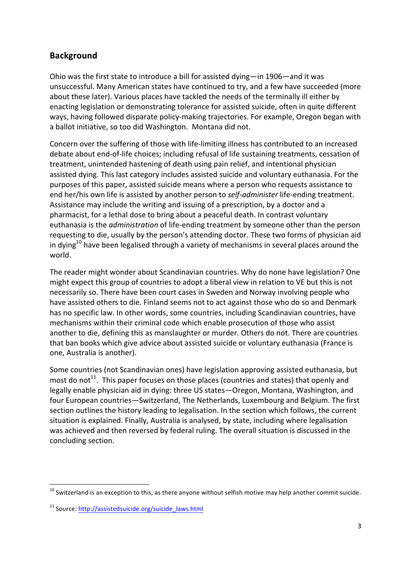## **Background**

Ohio was the first state to introduce a bill for assisted dying—in 1906—and it was unsuccessful. Many American states have continued to try, and a few have succeeded (more about these later). Various places have tackled the needs of the terminally ill either by enacting legislation or demonstrating tolerance for assisted suicide, often in quite different ways, having followed disparate policy-making trajectories. For example, Oregon began with a ballot initiative, so too did Washington. Montana did not.

Concern over the suffering of those with life-limiting illness has contributed to an increased debate about end-of-life choices; including refusal of life sustaining treatments, cessation of treatment, unintended hastening of death using pain relief, and intentional physician assisted dying. This last category includes assisted suicide and voluntary euthanasia. For the purposes of this paper, assisted suicide means where a person who requests assistance to end her/his own life is assisted by another person to *self-administer* life-ending treatment. Assistance may include the writing and issuing of a prescription, by a doctor and a pharmacist, for a lethal dose to bring about a peaceful death. In contrast voluntary euthanasia is the *administration* of life-ending treatment by someone other than the person requesting to die, usually by the person's attending doctor. These two forms of physician aid in dying<sup>10</sup> have been legalised through a variety of mechanisms in several places around the world.

The reader might wonder about Scandinavian countries. Why do none have legislation? One might expect this group of countries to adopt a liberal view in relation to VE but this is not necessarily so. There have been court cases in Sweden and Norway involving people who have assisted others to die. Finland seems not to act against those who do so and Denmark has no specific law. In other words, some countries, including Scandinavian countries, have mechanisms within their criminal code which enable prosecution of those who assist another to die, defining this as manslaughter or murder. Others do not. There are countries that ban books which give advice about assisted suicide or voluntary euthanasia (France is one, Australia is another).

Some countries (not Scandinavian ones) have legislation approving assisted euthanasia, but most do not<sup>11</sup>. This paper focuses on those places (countries and states) that openly and legally enable physician aid in dying: three US states—Oregon, Montana, Washington, and four European countries—Switzerland, The Netherlands, Luxembourg and Belgium. The first section outlines the history leading to legalisation. In the section which follows, the current situation is explained. Finally, Australia is analysed, by state, including where legalisation was achieved and then reversed by federal ruling. The overall situation is discussed in the concluding section.

 $^{10}$  Switzerland is an exception to this, as there anyone without selfish motive may help another commit suicide.

<sup>&</sup>lt;sup>11</sup> Source: http://assistedsuicide.org/suicide\_laws.html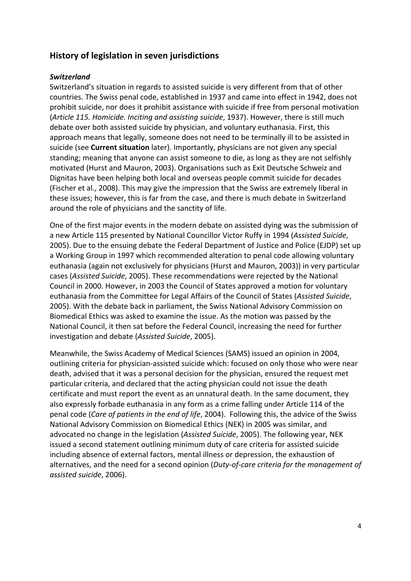## **History of legislation in seven jurisdictions**

#### *Switzerland*

Switzerland's situation in regards to assisted suicide is very different from that of other countries. The Swiss penal code, established in 1937 and came into effect in 1942, does not prohibit suicide, nor does it prohibit assistance with suicide if free from personal motivation (*Article 115. Homicide. Inciting and assisting suicide, 1937*). However, there is still much debate over both assisted suicide by physician, and voluntary euthanasia. First, this approach means that legally, someone does not need to be terminally ill to be assisted in suicide (see **Current situation** later). Importantly, physicians are not given any special standing; meaning that anyone can assist someone to die, as long as they are not selfishly motivated (Hurst and Mauron, 2003). Organisations such as Exit Deutsche Schweiz and Dignitas have been helping both local and overseas people commit suicide for decades (Fischer et al., 2008). This may give the impression that the Swiss are extremely liberal in these issues; however, this is far from the case, and there is much debate in Switzerland around the role of physicians and the sanctity of life.

One of the first major events in the modern debate on assisted dying was the submission of a new Article 115 presented by National Councillor Victor Ruffy in 1994 (Assisted Suicide, 2005). Due to the ensuing debate the Federal Department of Justice and Police (EJDP) set up a Working Group in 1997 which recommended alteration to penal code allowing voluntary euthanasia (again not exclusively for physicians (Hurst and Mauron, 2003)) in very particular cases (*Assisted Suicide*, 2005). These recommendations were rejected by the National Council in 2000. However, in 2003 the Council of States approved a motion for voluntary euthanasia from the Committee for Legal Affairs of the Council of States (Assisted Suicide, 2005). With the debate back in parliament, the Swiss National Advisory Commission on Biomedical Ethics was asked to examine the issue. As the motion was passed by the National Council, it then sat before the Federal Council, increasing the need for further investigation and debate (Assisted Suicide, 2005).

Meanwhile, the Swiss Academy of Medical Sciences (SAMS) issued an opinion in 2004, outlining criteria for physician-assisted suicide which: focused on only those who were near death, advised that it was a personal decision for the physician, ensured the request met particular criteria, and declared that the acting physician could not issue the death certificate and must report the event as an unnatural death. In the same document, they also expressly forbade euthanasia in any form as a crime falling under Article 114 of the penal code (*Care of patients in the end of life*, 2004). Following this, the advice of the Swiss National Advisory Commission on Biomedical Ethics (NEK) in 2005 was similar, and advocated no change in the legislation (Assisted Suicide, 2005). The following year, NEK issued a second statement outlining minimum duty of care criteria for assisted suicide including absence of external factors, mental illness or depression, the exhaustion of alternatives, and the need for a second opinion (*Duty-of-care criteria for the management of assisted suicide*, 2006).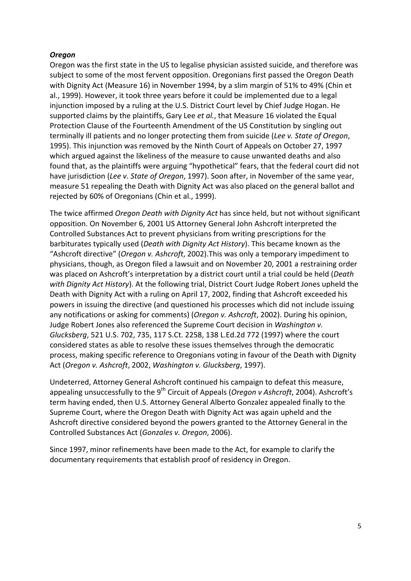#### *Oregon*

Oregon was the first state in the US to legalise physician assisted suicide, and therefore was subject to some of the most fervent opposition. Oregonians first passed the Oregon Death with Dignity Act (Measure 16) in November 1994, by a slim margin of 51% to 49% (Chin et al., 1999). However, it took three years before it could be implemented due to a legal injunction imposed by a ruling at the U.S. District Court level by Chief Judge Hogan. He supported claims by the plaintiffs, Gary Lee *et al.*, that Measure 16 violated the Equal Protection Clause of the Fourteenth Amendment of the US Constitution by singling out terminally ill patients and no longer protecting them from suicide (Lee v. State of Oregon, 1995). This injunction was removed by the Ninth Court of Appeals on October 27, 1997 which argued against the likeliness of the measure to cause unwanted deaths and also found that, as the plaintiffs were arguing "hypothetical" fears, that the federal court did not have jurisdiction (Lee v. State of Oregon, 1997). Soon after, in November of the same year, measure 51 repealing the Death with Dignity Act was also placed on the general ballot and rejected by 60% of Oregonians (Chin et al., 1999).

The twice affirmed *Oregon Death with Dignity Act* has since held, but not without significant opposition. On November 6, 2001 US Attorney General John Ashcroft interpreted the Controlled Substances Act to prevent physicians from writing prescriptions for the barbiturates typically used (*Death with Dignity Act History*). This became known as the "Ashcroft directive" (Oregon v. Ashcroft, 2002). This was only a temporary impediment to physicians, though, as Oregon filed a lawsuit and on November 20, 2001 a restraining order was placed on Ashcroft's interpretation by a district court until a trial could be held (*Death with Dignity Act History*). At the following trial, District Court Judge Robert Jones upheld the Death with Dignity Act with a ruling on April 17, 2002, finding that Ashcroft exceeded his powers in issuing the directive (and questioned his processes which did not include issuing any notifications or asking for comments) (*Oregon v. Ashcroft*, 2002). During his opinion, Judge Robert Jones also referenced the Supreme Court decision in *Washington v. Glucksberg*, 521 U.S. 702, 735, 117 S.Ct. 2258, 138 L.Ed.2d 772 (1997) where the court considered states as able to resolve these issues themselves through the democratic process, making specific reference to Oregonians voting in favour of the Death with Dignity Act (Oregon v. Ashcroft, 2002, Washington v. Glucksberg, 1997).

Undeterred, Attorney General Ashcroft continued his campaign to defeat this measure, appealing unsuccessfully to the 9<sup>th</sup> Circuit of Appeals (*Oregon v Ashcroft*, 2004). Ashcroft's term having ended, then U.S. Attorney General Alberto Gonzalez appealed finally to the Supreme Court, where the Oregon Death with Dignity Act was again upheld and the Ashcroft directive considered beyond the powers granted to the Attorney General in the Controlled Substances Act (*Gonzales v. Oregon*, 2006).

Since 1997, minor refinements have been made to the Act, for example to clarify the documentary requirements that establish proof of residency in Oregon.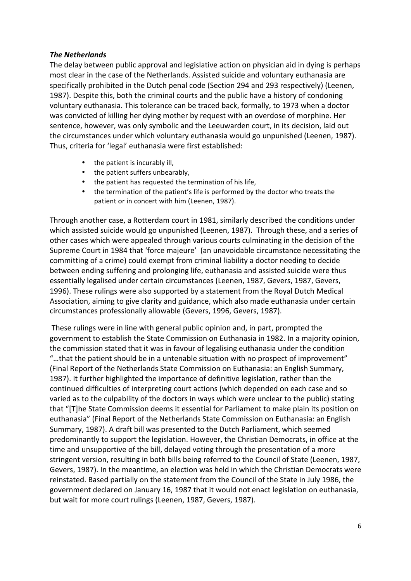#### *The Netherlands*

The delay between public approval and legislative action on physician aid in dying is perhaps most clear in the case of the Netherlands. Assisted suicide and voluntary euthanasia are specifically prohibited in the Dutch penal code (Section 294 and 293 respectively) (Leenen, 1987). Despite this, both the criminal courts and the public have a history of condoning voluntary euthanasia. This tolerance can be traced back, formally, to 1973 when a doctor was convicted of killing her dying mother by request with an overdose of morphine. Her sentence, however, was only symbolic and the Leeuwarden court, in its decision, laid out the circumstances under which voluntary euthanasia would go unpunished (Leenen, 1987). Thus, criteria for 'legal' euthanasia were first established:

- the patient is incurably ill.
- the patient suffers unbearably,
- the patient has requested the termination of his life,
- the termination of the patient's life is performed by the doctor who treats the patient or in concert with him (Leenen, 1987).

Through another case, a Rotterdam court in 1981, similarly described the conditions under which assisted suicide would go unpunished (Leenen, 1987). Through these, and a series of other cases which were appealed through various courts culminating in the decision of the Supreme Court in 1984 that 'force majeure' (an unavoidable circumstance necessitating the committing of a crime) could exempt from criminal liability a doctor needing to decide between ending suffering and prolonging life, euthanasia and assisted suicide were thus essentially legalised under certain circumstances (Leenen, 1987, Gevers, 1987, Gevers, 1996). These rulings were also supported by a statement from the Royal Dutch Medical Association, aiming to give clarity and guidance, which also made euthanasia under certain circumstances professionally allowable (Gevers, 1996, Gevers, 1987).

These rulings were in line with general public opinion and, in part, prompted the government to establish the State Commission on Euthanasia in 1982. In a majority opinion, the commission stated that it was in favour of legalising euthanasia under the condition "...that the patient should be in a untenable situation with no prospect of improvement" (Final Report of the Netherlands State Commission on Euthanasia: an English Summary, 1987). It further highlighted the importance of definitive legislation, rather than the continued difficulties of interpreting court actions (which depended on each case and so varied as to the culpability of the doctors in ways which were unclear to the public) stating that "[T]he State Commission deems it essential for Parliament to make plain its position on euthanasia" (Final Report of the Netherlands State Commission on Euthanasia: an English Summary, 1987). A draft bill was presented to the Dutch Parliament, which seemed predominantly to support the legislation. However, the Christian Democrats, in office at the time and unsupportive of the bill, delayed voting through the presentation of a more stringent version, resulting in both bills being referred to the Council of State (Leenen, 1987, Gevers, 1987). In the meantime, an election was held in which the Christian Democrats were reinstated. Based partially on the statement from the Council of the State in July 1986, the government declared on January 16, 1987 that it would not enact legislation on euthanasia, but wait for more court rulings (Leenen, 1987, Gevers, 1987).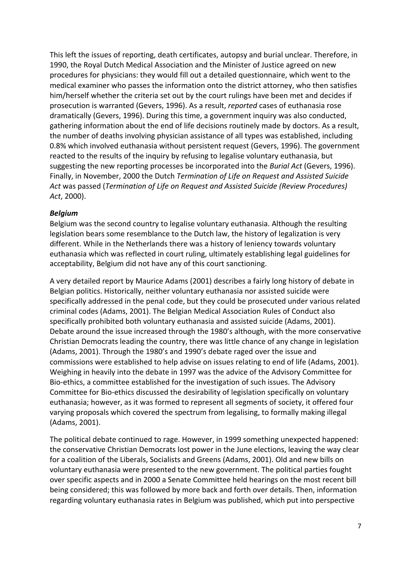This left the issues of reporting, death certificates, autopsy and burial unclear. Therefore, in 1990, the Royal Dutch Medical Association and the Minister of Justice agreed on new procedures for physicians: they would fill out a detailed questionnaire, which went to the medical examiner who passes the information onto the district attorney, who then satisfies him/herself whether the criteria set out by the court rulings have been met and decides if prosecution is warranted (Gevers, 1996). As a result, *reported* cases of euthanasia rose dramatically (Gevers, 1996). During this time, a government inquiry was also conducted, gathering information about the end of life decisions routinely made by doctors. As a result, the number of deaths involving physician assistance of all types was established, including 0.8% which involved euthanasia without persistent request (Gevers, 1996). The government reacted to the results of the inquiry by refusing to legalise voluntary euthanasia, but suggesting the new reporting processes be incorporated into the *Burial Act* (Gevers, 1996). Finally, in November, 2000 the Dutch *Termination of Life on Request and Assisted Suicide* Act was passed (*Termination of Life on Request and Assisted Suicide (Review Procedures) Act*, 2000). 

#### *Belgium*

Belgium was the second country to legalise voluntary euthanasia. Although the resulting legislation bears some resemblance to the Dutch law, the history of legalization is very different. While in the Netherlands there was a history of leniency towards voluntary euthanasia which was reflected in court ruling, ultimately establishing legal guidelines for acceptability, Belgium did not have any of this court sanctioning.

A very detailed report by Maurice Adams (2001) describes a fairly long history of debate in Belgian politics. Historically, neither voluntary euthanasia nor assisted suicide were specifically addressed in the penal code, but they could be prosecuted under various related criminal codes (Adams, 2001). The Belgian Medical Association Rules of Conduct also specifically prohibited both voluntary euthanasia and assisted suicide (Adams, 2001). Debate around the issue increased through the 1980's although, with the more conservative Christian Democrats leading the country, there was little chance of any change in legislation (Adams, 2001). Through the 1980's and 1990's debate raged over the issue and commissions were established to help advise on issues relating to end of life (Adams, 2001). Weighing in heavily into the debate in 1997 was the advice of the Advisory Committee for Bio-ethics, a committee established for the investigation of such issues. The Advisory Committee for Bio-ethics discussed the desirability of legislation specifically on voluntary euthanasia; however, as it was formed to represent all segments of society, it offered four varying proposals which covered the spectrum from legalising, to formally making illegal (Adams, 2001).

The political debate continued to rage. However, in 1999 something unexpected happened: the conservative Christian Democrats lost power in the June elections, leaving the way clear for a coalition of the Liberals, Socialists and Greens (Adams, 2001). Old and new bills on voluntary euthanasia were presented to the new government. The political parties fought over specific aspects and in 2000 a Senate Committee held hearings on the most recent bill being considered; this was followed by more back and forth over details. Then, information regarding voluntary euthanasia rates in Belgium was published, which put into perspective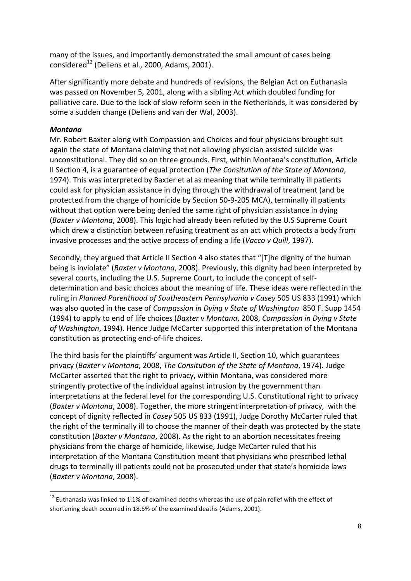many of the issues, and importantly demonstrated the small amount of cases being considered<sup>12</sup> (Deliens et al., 2000, Adams, 2001).

After significantly more debate and hundreds of revisions, the Belgian Act on Euthanasia was passed on November 5, 2001, along with a sibling Act which doubled funding for palliative care. Due to the lack of slow reform seen in the Netherlands, it was considered by some a sudden change (Deliens and van der Wal, 2003).

#### *Montana*

Mr. Robert Baxter along with Compassion and Choices and four physicians brought suit again the state of Montana claiming that not allowing physician assisted suicide was unconstitutional. They did so on three grounds. First, within Montana's constitution, Article II Section 4, is a guarantee of equal protection (*The Consitution of the State of Montana*, 1974). This was interpreted by Baxter et al as meaning that while terminally ill patients could ask for physician assistance in dying through the withdrawal of treatment (and be protected from the charge of homicide by Section 50-9-205 MCA), terminally ill patients without that option were being denied the same right of physician assistance in dying (*Baxter* v Montana, 2008). This logic had already been refuted by the U.S Supreme Court which drew a distinction between refusing treatment as an act which protects a body from invasive processes and the active process of ending a life (*Vacco v Quill*, 1997).

Secondly, they argued that Article II Section 4 also states that "[T]he dignity of the human being is inviolate" (Baxter v Montana, 2008). Previously, this dignity had been interpreted by several courts, including the U.S. Supreme Court, to include the concept of selfdetermination and basic choices about the meaning of life. These ideas were reflected in the ruling in Planned Parenthood of Southeastern Pennsylvania v Casey 505 US 833 (1991) which was also quoted in the case of *Compassion in Dying v State of Washington* 850 F. Supp 1454 (1994) to apply to end of life choices (*Baxter v Montana*, 2008, *Compassion in Dying v State* of Washington, 1994). Hence Judge McCarter supported this interpretation of the Montana constitution as protecting end-of-life choices.

The third basis for the plaintiffs' argument was Article II, Section 10, which guarantees privacy (Baxter v Montana, 2008, The Consitution of the State of Montana, 1974). Judge McCarter asserted that the right to privacy, within Montana, was considered more stringently protective of the individual against intrusion by the government than interpretations at the federal level for the corresponding U.S. Constitutional right to privacy (Baxter v Montana, 2008). Together, the more stringent interpretation of privacy, with the concept of dignity reflected in *Casey* 505 US 833 (1991), Judge Dorothy McCarter ruled that the right of the terminally ill to choose the manner of their death was protected by the state constitution (Baxter v Montana, 2008). As the right to an abortion necessitates freeing physicians from the charge of homicide, likewise, Judge McCarter ruled that his interpretation of the Montana Constitution meant that physicians who prescribed lethal drugs to terminally ill patients could not be prosecuted under that state's homicide laws (*Baxter v Montana*, 2008).

 $12$  Euthanasia was linked to 1.1% of examined deaths whereas the use of pain relief with the effect of shortening death occurred in 18.5% of the examined deaths (Adams, 2001).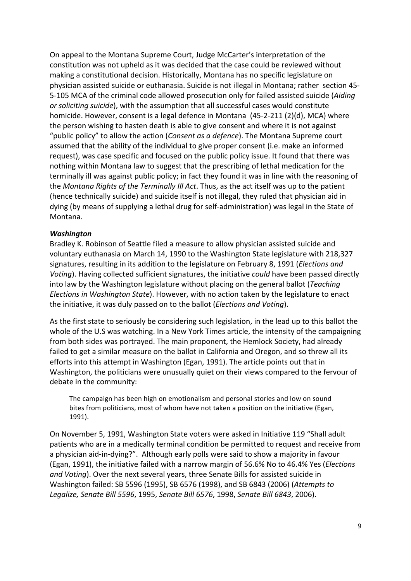On appeal to the Montana Supreme Court, Judge McCarter's interpretation of the constitution was not upheld as it was decided that the case could be reviewed without making a constitutional decision. Historically, Montana has no specific legislature on physician assisted suicide or euthanasia. Suicide is not illegal in Montana; rather section 45-5-105 MCA of the criminal code allowed prosecution only for failed assisted suicide (Aiding *or soliciting suicide*), with the assumption that all successful cases would constitute homicide. However, consent is a legal defence in Montana  $(45-2-211)(2)(d)$ , MCA) where the person wishing to hasten death is able to give consent and where it is not against "public policy" to allow the action (*Consent as a defence*). The Montana Supreme court assumed that the ability of the individual to give proper consent (i.e. make an informed request), was case specific and focused on the public policy issue. It found that there was nothing within Montana law to suggest that the prescribing of lethal medication for the terminally ill was against public policy; in fact they found it was in line with the reasoning of the *Montana Rights of the Terminally III Act*. Thus, as the act itself was up to the patient (hence technically suicide) and suicide itself is not illegal, they ruled that physician aid in dying (by means of supplying a lethal drug for self-administration) was legal in the State of Montana.

#### *Washington*

Bradley K. Robinson of Seattle filed a measure to allow physician assisted suicide and voluntary euthanasia on March 14, 1990 to the Washington State legislature with 218,327 signatures, resulting in its addition to the legislature on February 8, 1991 (*Elections and Voting*). Having collected sufficient signatures, the initiative *could* have been passed directly into law by the Washington legislature without placing on the general ballot (*Teaching Elections in Washington State*). However, with no action taken by the legislature to enact the initiative, it was duly passed on to the ballot (*Elections and Voting*).

As the first state to seriously be considering such legislation, in the lead up to this ballot the whole of the U.S was watching. In a New York Times article, the intensity of the campaigning from both sides was portrayed. The main proponent, the Hemlock Society, had already failed to get a similar measure on the ballot in California and Oregon, and so threw all its efforts into this attempt in Washington (Egan, 1991). The article points out that in Washington, the politicians were unusually quiet on their views compared to the fervour of debate in the community:

The campaign has been high on emotionalism and personal stories and low on sound bites from politicians, most of whom have not taken a position on the initiative (Egan, 1991). 

On November 5, 1991, Washington State voters were asked in Initiative 119 "Shall adult patients who are in a medically terminal condition be permitted to request and receive from a physician aid-in-dying?". Although early polls were said to show a majority in favour (Egan, 1991), the initiative failed with a narrow margin of 56.6% No to 46.4% Yes (*Elections and Voting*). Over the next several years, three Senate Bills for assisted suicide in Washington failed: SB 5596 (1995), SB 6576 (1998), and SB 6843 (2006) (Attempts to *Legalize, Senate Bill 5596*, 1995, *Senate Bill 6576*, 1998, *Senate Bill 6843*, 2006).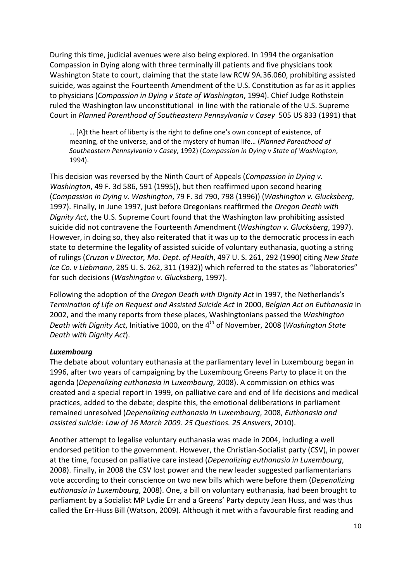During this time, judicial avenues were also being explored. In 1994 the organisation Compassion in Dying along with three terminally ill patients and five physicians took Washington State to court, claiming that the state law RCW 9A.36.060, prohibiting assisted suicide, was against the Fourteenth Amendment of the U.S. Constitution as far as it applies to physicians (*Compassion in Dying v State of Washington*, 1994). Chief Judge Rothstein ruled the Washington law unconstitutional in line with the rationale of the U.S. Supreme Court in *Planned Parenthood of Southeastern Pennsylvania v Casey* 505 US 833 (1991) that

... [A]t the heart of liberty is the right to define one's own concept of existence, of meaning, of the universe, and of the mystery of human life... (*Planned Parenthood of Southeastern Pennsylvania v Casey*, 1992) (*Compassion in Dying v State of Washington*, 1994). 

This decision was reversed by the Ninth Court of Appeals (*Compassion in Dying v. Washington*, 49 F. 3d 586, 591 (1995)), but then reaffirmed upon second hearing (*Compassion in Dying v. Washington*, 79 F. 3d 790, 798 (1996)) (*Washington v. Glucksberg*, 1997). Finally, in June 1997, just before Oregonians reaffirmed the *Oregon Death with Dignity Act*, the U.S. Supreme Court found that the Washington law prohibiting assisted suicide did not contravene the Fourteenth Amendment (*Washington v. Glucksberg*, 1997). However, in doing so, they also reiterated that it was up to the democratic process in each state to determine the legality of assisted suicide of voluntary euthanasia, quoting a string of rulings (*Cruzan v Director, Mo. Dept. of Health*, 497 U. S. 261, 292 (1990) citing *New State Ice Co. v Liebmann*, 285 U. S. 262, 311 (1932)) which referred to the states as "laboratories" for such decisions (*Washington v. Glucksberg*, 1997).

Following the adoption of the *Oregon Death with Dignity Act* in 1997, the Netherlands's *Termination of Life on Request and Assisted Suicide Act in 2000, Belgian Act on Euthanasia* in 2002, and the many reports from these places, Washingtonians passed the *Washington Death with Dignity Act,* Initiative 1000, on the 4<sup>th</sup> of November, 2008 (*Washington State Death with Dignity Act*). 

#### *Luxembourg*

The debate about voluntary euthanasia at the parliamentary level in Luxembourg began in 1996, after two years of campaigning by the Luxembourg Greens Party to place it on the agenda (*Depenalizing euthanasia in Luxembourg*, 2008). A commission on ethics was created and a special report in 1999, on palliative care and end of life decisions and medical practices, added to the debate; despite this, the emotional deliberations in parliament remained unresolved (*Depenalizing euthanasia in Luxembourg*, 2008, *Euthanasia and assisted suicide: Law of 16 March 2009. 25 Questions. 25 Answers*, 2010). 

Another attempt to legalise voluntary euthanasia was made in 2004, including a well endorsed petition to the government. However, the Christian-Socialist party (CSV), in power at the time, focused on palliative care instead (*Depenalizing euthanasia in Luxembourg*, 2008). Finally, in 2008 the CSV lost power and the new leader suggested parliamentarians vote according to their conscience on two new bills which were before them (*Depenalizing euthanasia in Luxembourg*, 2008). One, a bill on voluntary euthanasia, had been brought to parliament by a Socialist MP Lydie Err and a Greens' Party deputy Jean Huss, and was thus called the Err-Huss Bill (Watson, 2009). Although it met with a favourable first reading and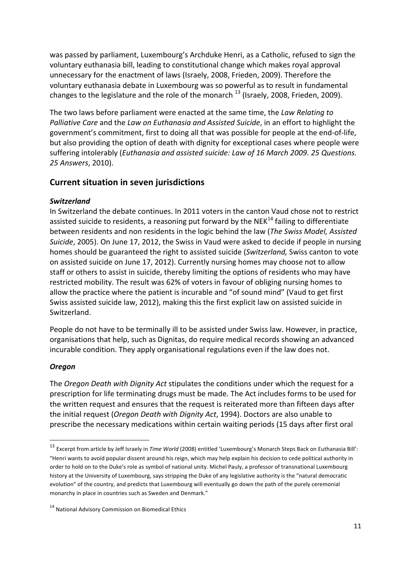was passed by parliament, Luxembourg's Archduke Henri, as a Catholic, refused to sign the voluntary euthanasia bill, leading to constitutional change which makes royal approval unnecessary for the enactment of laws (Israely, 2008, Frieden, 2009). Therefore the voluntary euthanasia debate in Luxembourg was so powerful as to result in fundamental changes to the legislature and the role of the monarch  $^{13}$  (Israely, 2008, Frieden, 2009).

The two laws before parliament were enacted at the same time, the *Law Relating to Palliative Care* and the *Law on Euthanasia and Assisted Suicide*, in an effort to highlight the government's commitment, first to doing all that was possible for people at the end-of-life, but also providing the option of death with dignity for exceptional cases where people were suffering intolerably (*Euthanasia and assisted suicide: Law of 16 March 2009. 25 Questions. 25 Answers*, 2010). 

## **Current situation in seven jurisdictions**

## *Switzerland*

In Switzerland the debate continues. In 2011 voters in the canton Vaud chose not to restrict assisted suicide to residents, a reasoning put forward by the NEK<sup>14</sup> failing to differentiate between residents and non residents in the logic behind the law (*The Swiss Model, Assisted Suicide*, 2005). On June 17, 2012, the Swiss in Vaud were asked to decide if people in nursing homes should be guaranteed the right to assisted suicide (*Switzerland*, *Swiss* canton to vote on assisted suicide on June 17, 2012). Currently nursing homes may choose not to allow staff or others to assist in suicide, thereby limiting the options of residents who may have restricted mobility. The result was 62% of voters in favour of obliging nursing homes to allow the practice where the patient is incurable and "of sound mind" (Vaud to get first Swiss assisted suicide law, 2012), making this the first explicit law on assisted suicide in Switzerland. 

People do not have to be terminally ill to be assisted under Swiss law. However, in practice, organisations that help, such as Dignitas, do require medical records showing an advanced incurable condition. They apply organisational regulations even if the law does not.

## *Oregon*

The *Oregon Death with Dignity Act* stipulates the conditions under which the request for a prescription for life terminating drugs must be made. The Act includes forms to be used for the written request and ensures that the request is reiterated more than fifteen days after the initial request (*Oregon Death with Dignity Act*, 1994). Doctors are also unable to prescribe the necessary medications within certain waiting periods (15 days after first oral

<sup>&</sup>lt;sup>13</sup> Excerpt from article by Jeff Israely in *Time World* (2008) entitled 'Luxembourg's Monarch Steps Back on Euthanasia Bill': "Henri wants to avoid popular dissent around his reign, which may help explain his decision to cede political authority in order to hold on to the Duke's role as symbol of national unity. Michel Pauly, a professor of transnational Luxembourg history at the University of Luxembourg, says stripping the Duke of any legislative authority is the "natural democratic evolution" of the country, and predicts that Luxembourg will eventually go down the path of the purely ceremonial monarchy in place in countries such as Sweden and Denmark."

<sup>&</sup>lt;sup>14</sup> National Advisory Commission on Biomedical Ethics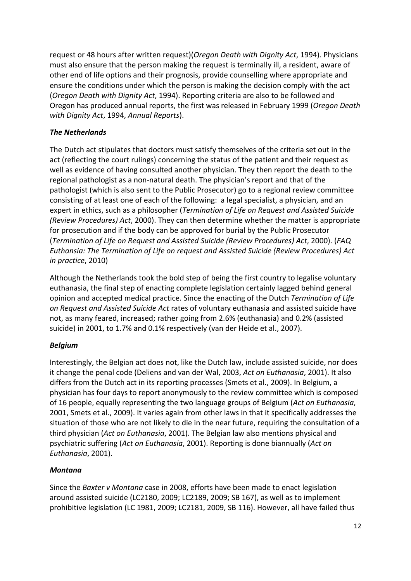request or 48 hours after written request)(*Oregon Death with Dignity Act*, 1994). Physicians must also ensure that the person making the request is terminally ill, a resident, aware of other end of life options and their prognosis, provide counselling where appropriate and ensure the conditions under which the person is making the decision comply with the act (*Oregon Death with Dignity Act*, 1994). Reporting criteria are also to be followed and Oregon has produced annual reports, the first was released in February 1999 (*Oregon Death with Dignity Act*, 1994, *Annual Reports*).

## *The Netherlands*

The Dutch act stipulates that doctors must satisfy themselves of the criteria set out in the act (reflecting the court rulings) concerning the status of the patient and their request as well as evidence of having consulted another physician. They then report the death to the regional pathologist as a non-natural death. The physician's report and that of the pathologist (which is also sent to the Public Prosecutor) go to a regional review committee consisting of at least one of each of the following: a legal specialist, a physician, and an expert in ethics, such as a philosopher (*Termination of Life on Request and Assisted Suicide (Review Procedures) Act,* 2000). They can then determine whether the matter is appropriate for prosecution and if the body can be approved for burial by the Public Prosecutor (*Termination of Life on Request and Assisted Suicide (Review Procedures) Act*, 2000). (*FAQ Euthansia: The Termination of Life on request and Assisted Suicide (Review Procedures) Act in practice*, 2010)

Although the Netherlands took the bold step of being the first country to legalise voluntary euthanasia, the final step of enacting complete legislation certainly lagged behind general opinion and accepted medical practice. Since the enacting of the Dutch *Termination of Life* on Request and Assisted Suicide Act rates of voluntary euthanasia and assisted suicide have not, as many feared, increased; rather going from 2.6% (euthanasia) and 0.2% (assisted suicide) in 2001, to 1.7% and 0.1% respectively (van der Heide et al., 2007).

## *Belgium*

Interestingly, the Belgian act does not, like the Dutch law, include assisted suicide, nor does it change the penal code (Deliens and van der Wal, 2003, *Act on Euthanasia*, 2001). It also differs from the Dutch act in its reporting processes (Smets et al., 2009). In Belgium, a physician has four days to report anonymously to the review committee which is composed of 16 people, equally representing the two language groups of Belgium (Act on Euthanasia, 2001, Smets et al., 2009). It varies again from other laws in that it specifically addresses the situation of those who are not likely to die in the near future, requiring the consultation of a third physician (Act on Euthanasia, 2001). The Belgian law also mentions physical and psychiatric suffering (*Act on Euthanasia,* 2001). Reporting is done biannually (*Act on* Euthanasia, 2001).

## *Montana*

Since the *Baxter v Montana* case in 2008, efforts have been made to enact legislation around assisted suicide (LC2180, 2009; LC2189, 2009; SB 167), as well as to implement prohibitive legislation (LC 1981, 2009; LC2181, 2009, SB 116). However, all have failed thus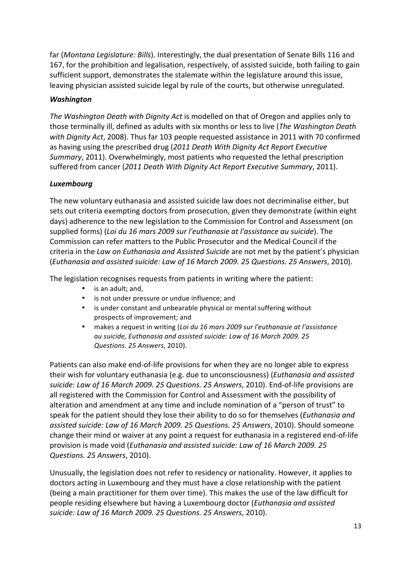far (*Montana Legislature: Bills*). Interestingly, the dual presentation of Senate Bills 116 and 167, for the prohibition and legalisation, respectively, of assisted suicide, both failing to gain sufficient support, demonstrates the stalemate within the legislature around this issue, leaving physician assisted suicide legal by rule of the courts, but otherwise unregulated.

## *Washington*

*The Washington Death with Dignity Act* is modelled on that of Oregon and applies only to those terminally ill, defined as adults with six months or less to live (*The Washington Death*) with Dignity Act, 2008). Thus far 103 people requested assistance in 2011 with 70 confirmed as having using the prescribed drug (2011 Death With Dignity Act Report Executive Summary, 2011). Overwhelmingly, most patients who requested the lethal prescription suffered from cancer (2011 Death With Dignity Act Report Executive Summary, 2011).

## *Luxembourg*

The new voluntary euthanasia and assisted suicide law does not decriminalise either, but sets out criteria exempting doctors from prosecution, given they demonstrate (within eight days) adherence to the new legislation to the Commission for Control and Assessment (on supplied forms) (*Loi du 16 mars 2009 sur l'euthanasie at l'assistance au suicide*). The Commission can refer matters to the Public Prosecutor and the Medical Council if the criteria in the *Law on Euthanasia and Assisted Suicide* are not met by the patient's physician (*Euthanasia and assisted suicide: Law of 16 March 2009. 25 Questions. 25 Answers*, 2010).

The legislation recognises requests from patients in writing where the patient:

- is an adult; and,
- is not under pressure or undue influence; and
- is under constant and unbearable physical or mental suffering without prospects of improvement; and
- makes a request in writing (*Loi du 16 mars 2009 sur l'euthanasie at l'assistance* au suicide, Euthanasia and assisted suicide: Law of 16 March 2009. 25 *Questions. 25 Answers*, 2010).

Patients can also make end-of-life provisions for when they are no longer able to express their wish for voluntary euthanasia (e.g. due to unconsciousness) (*Euthanasia and assisted* suicide: Law of 16 March 2009. 25 Questions. 25 Answers, 2010). End-of-life provisions are all registered with the Commission for Control and Assessment with the possibility of alteration and amendment at any time and include nomination of a "person of trust" to speak for the patient should they lose their ability to do so for themselves (*Euthanasia and assisted suicide: Law of 16 March 2009. 25 Questions. 25 Answers*, 2010). Should someone change their mind or waiver at any point a request for euthanasia in a registered end-of-life provision is made void (*Euthanasia and assisted suicide: Law of 16 March 2009. 25 Questions. 25 Answers*, 2010).

Unusually, the legislation does not refer to residency or nationality. However, it applies to doctors acting in Luxembourg and they must have a close relationship with the patient (being a main practitioner for them over time). This makes the use of the law difficult for people residing elsewhere but having a Luxembourg doctor (*Euthanasia and assisted suicide: Law of 16 March 2009. 25 Questions. 25 Answers*, 2010).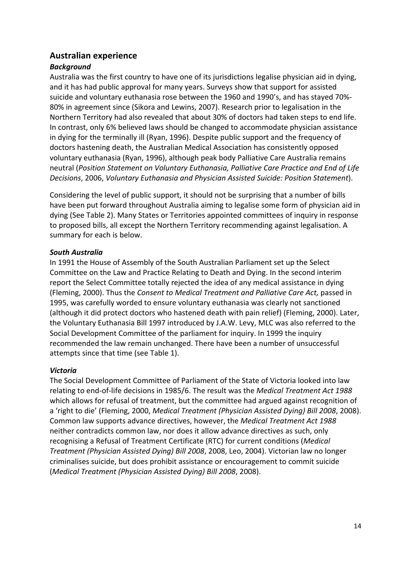## **Australian experience**

## *Background*

Australia was the first country to have one of its jurisdictions legalise physician aid in dying, and it has had public approval for many years. Surveys show that support for assisted suicide and voluntary euthanasia rose between the 1960 and 1990's, and has stayed 70%-80% in agreement since (Sikora and Lewins, 2007). Research prior to legalisation in the Northern Territory had also revealed that about 30% of doctors had taken steps to end life. In contrast, only 6% believed laws should be changed to accommodate physician assistance in dying for the terminally ill (Ryan, 1996). Despite public support and the frequency of doctors hastening death, the Australian Medical Association has consistently opposed voluntary euthanasia (Ryan, 1996), although peak body Palliative Care Australia remains neutral (Position Statement on Voluntary Euthanasia, Palliative Care Practice and End of Life Decisions, 2006, *Voluntary Euthanasia and Physician Assisted Suicide: Position Statement*).

Considering the level of public support, it should not be surprising that a number of bills have been put forward throughout Australia aiming to legalise some form of physician aid in dying (See Table 2). Many States or Territories appointed committees of inquiry in response to proposed bills, all except the Northern Territory recommending against legalisation. A summary for each is below.

## *South Australia*

In 1991 the House of Assembly of the South Australian Parliament set up the Select Committee on the Law and Practice Relating to Death and Dying. In the second interim report the Select Committee totally rejected the idea of any medical assistance in dying (Fleming, 2000). Thus the *Consent to Medical Treatment and Palliative Care Act,* passed in 1995, was carefully worded to ensure voluntary euthanasia was clearly not sanctioned (although it did protect doctors who hastened death with pain relief) (Fleming, 2000). Later, the Voluntary Euthanasia Bill 1997 introduced by J.A.W. Levy, MLC was also referred to the Social Development Committee of the parliament for inquiry. In 1999 the inquiry recommended the law remain unchanged. There have been a number of unsuccessful attempts since that time (see Table 1).

## *Victoria*

The Social Development Committee of Parliament of the State of Victoria looked into law relating to end-of-life decisions in 1985/6. The result was the *Medical Treatment Act 1988* which allows for refusal of treatment, but the committee had argued against recognition of a 'right to die' (Fleming, 2000, *Medical Treatment (Physician Assisted Dying) Bill 2008*, 2008). Common law supports advance directives, however, the *Medical Treatment Act 1988* neither contradicts common law, nor does it allow advance directives as such, only recognising a Refusal of Treatment Certificate (RTC) for current conditions (*Medical Treatment (Physician Assisted Dying) Bill 2008,* 2008, Leo, 2004). Victorian law no longer criminalises suicide, but does prohibit assistance or encouragement to commit suicide (*Medical Treatment (Physician Assisted Dying) Bill 2008*, 2008).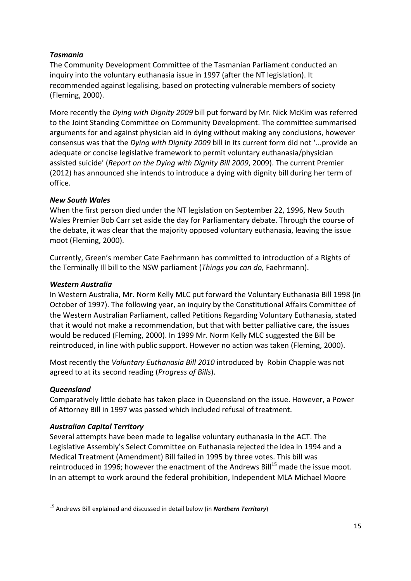## *Tasmania*

The Community Development Committee of the Tasmanian Parliament conducted an inquiry into the voluntary euthanasia issue in 1997 (after the NT legislation). It recommended against legalising, based on protecting vulnerable members of society (Fleming, 2000).

More recently the *Dying with Dignity 2009* bill put forward by Mr. Nick McKim was referred to the Joint Standing Committee on Community Development. The committee summarised arguments for and against physician aid in dying without making any conclusions, however consensus was that the *Dying with Dignity 2009* bill in its current form did not '...provide an adequate or concise legislative framework to permit voluntary euthanasia/physician assisted suicide' (*Report on the Dying with Dignity Bill 2009*, 2009). The current Premier (2012) has announced she intends to introduce a dying with dignity bill during her term of office.

## *New South Wales*

When the first person died under the NT legislation on September 22, 1996, New South Wales Premier Bob Carr set aside the day for Parliamentary debate. Through the course of the debate, it was clear that the majority opposed voluntary euthanasia, leaving the issue moot (Fleming, 2000).

Currently, Green's member Cate Faehrmann has committed to introduction of a Rights of the Terminally Ill bill to the NSW parliament (*Things you can do*, Faehrmann).

## *Western Australia*

In Western Australia, Mr. Norm Kelly MLC put forward the Voluntary Euthanasia Bill 1998 (in October of 1997). The following year, an inquiry by the Constitutional Affairs Committee of the Western Australian Parliament, called Petitions Regarding Voluntary Euthanasia, stated that it would not make a recommendation, but that with better palliative care, the issues would be reduced (Fleming, 2000). In 1999 Mr. Norm Kelly MLC suggested the Bill be reintroduced, in line with public support. However no action was taken (Fleming, 2000).

Most recently the *Voluntary Euthanasia Bill 2010* introduced by Robin Chapple was not agreed to at its second reading (*Progress of Bills*).

## *Queensland*

Comparatively little debate has taken place in Queensland on the issue. However, a Power of Attorney Bill in 1997 was passed which included refusal of treatment.

## *Australian Capital Territory*

<u> 1989 - Johann Stein, fransk politiker (d. 1989)</u>

Several attempts have been made to legalise voluntary euthanasia in the ACT. The Legislative Assembly's Select Committee on Euthanasia rejected the idea in 1994 and a Medical Treatment (Amendment) Bill failed in 1995 by three votes. This bill was reintroduced in 1996; however the enactment of the Andrews Bill<sup>15</sup> made the issue moot. In an attempt to work around the federal prohibition, Independent MLA Michael Moore

<sup>&</sup>lt;sup>15</sup> Andrews Bill explained and discussed in detail below (in *Northern Territory*)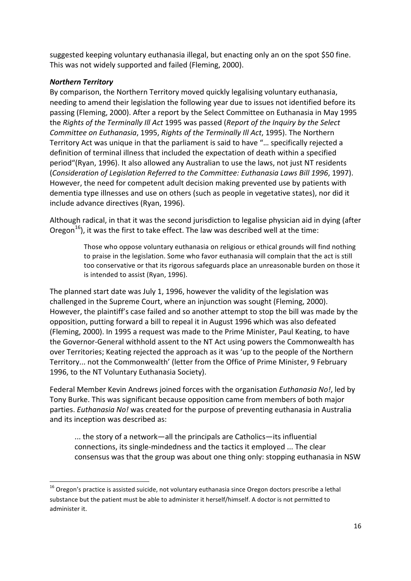suggested keeping voluntary euthanasia illegal, but enacting only an on the spot \$50 fine. This was not widely supported and failed (Fleming, 2000).

## *Northern Territory*

<u> 1989 - Johann Stein, fransk politiker (d. 1989)</u>

By comparison, the Northern Territory moved quickly legalising voluntary euthanasia, needing to amend their legislation the following year due to issues not identified before its passing (Fleming, 2000). After a report by the Select Committee on Euthanasia in May 1995 the *Rights of the Terminally Ill Act* 1995 was passed (*Report of the Inquiry by the Select Committee on Euthanasia, 1995, Rights of the Terminally III Act, 1995).* The Northern Territory Act was unique in that the parliament is said to have "... specifically rejected a definition of terminal illness that included the expectation of death within a specified period"(Ryan, 1996). It also allowed any Australian to use the laws, not just NT residents (*Consideration of Legislation Referred to the Committee: Euthanasia Laws Bill 1996*, 1997). However, the need for competent adult decision making prevented use by patients with dementia type illnesses and use on others (such as people in vegetative states), nor did it include advance directives (Ryan, 1996).

Although radical, in that it was the second jurisdiction to legalise physician aid in dying (after Oregon<sup>16</sup>), it was the first to take effect. The law was described well at the time:

> Those who oppose voluntary euthanasia on religious or ethical grounds will find nothing to praise in the legislation. Some who favor euthanasia will complain that the act is still too conservative or that its rigorous safeguards place an unreasonable burden on those it is intended to assist (Ryan, 1996).

The planned start date was July 1, 1996, however the validity of the legislation was challenged in the Supreme Court, where an injunction was sought (Fleming, 2000). However, the plaintiff's case failed and so another attempt to stop the bill was made by the opposition, putting forward a bill to repeal it in August 1996 which was also defeated (Fleming, 2000). In 1995 a request was made to the Prime Minister, Paul Keating, to have the Governor-General withhold assent to the NT Act using powers the Commonwealth has over Territories; Keating rejected the approach as it was 'up to the people of the Northern Territory... not the Commonwealth' (letter from the Office of Prime Minister, 9 February 1996, to the NT Voluntary Euthanasia Society).

Federal Member Kevin Andrews joined forces with the organisation *Euthanasia No!*, led by Tony Burke. This was significant because opposition came from members of both major parties. *Euthanasia No!* was created for the purpose of preventing euthanasia in Australia and its inception was described as:

... the story of a network—all the principals are Catholics—its influential connections, its single-mindedness and the tactics it employed ... The clear consensus was that the group was about one thing only: stopping euthanasia in NSW

 $16$  Oregon's practice is assisted suicide, not voluntary euthanasia since Oregon doctors prescribe a lethal substance but the patient must be able to administer it herself/himself. A doctor is not permitted to administer it.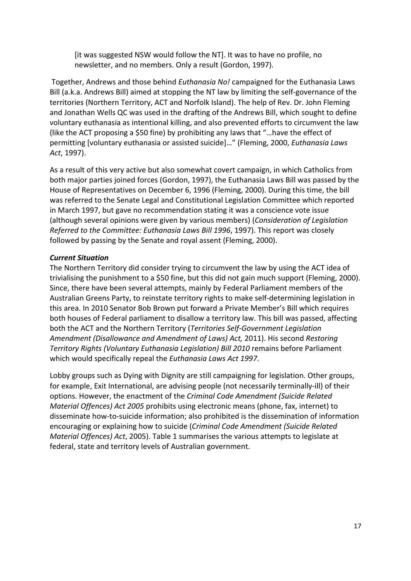[it was suggested NSW would follow the NT]. It was to have no profile, no newsletter, and no members. Only a result (Gordon, 1997).

Together, Andrews and those behind *Euthanasia No!* campaigned for the Euthanasia Laws Bill (a.k.a. Andrews Bill) aimed at stopping the NT law by limiting the self-governance of the territories (Northern Territory, ACT and Norfolk Island). The help of Rev. Dr. John Fleming and Jonathan Wells QC was used in the drafting of the Andrews Bill, which sought to define voluntary euthanasia as intentional killing, and also prevented efforts to circumvent the law (like the ACT proposing a \$50 fine) by prohibiting any laws that "... have the effect of permitting [voluntary euthanasia or assisted suicide]..." (Fleming, 2000, *Euthanasia Laws Act*, 1997).

As a result of this very active but also somewhat covert campaign, in which Catholics from both major parties joined forces (Gordon, 1997), the Euthanasia Laws Bill was passed by the House of Representatives on December 6, 1996 (Fleming, 2000). During this time, the bill was referred to the Senate Legal and Constitutional Legislation Committee which reported in March 1997, but gave no recommendation stating it was a conscience vote issue (although several opinions were given by various members) (*Consideration of Legislation Referred to the Committee: Euthanasia Laws Bill 1996*, 1997). This report was closely followed by passing by the Senate and royal assent (Fleming, 2000).

#### *Current Situation*

The Northern Territory did consider trying to circumvent the law by using the ACT idea of trivialising the punishment to a \$50 fine, but this did not gain much support (Fleming, 2000). Since, there have been several attempts, mainly by Federal Parliament members of the Australian Greens Party, to reinstate territory rights to make self-determining legislation in this area. In 2010 Senator Bob Brown put forward a Private Member's Bill which requires both houses of Federal parliament to disallow a territory law. This bill was passed, affecting both the ACT and the Northern Territory (*Territories Self-Government Legislation Amendment (Disallowance and Amendment of Laws) Act, 2011).* His second *Restoring Territory Rights (Voluntary Euthanasia Legislation) Bill 2010* remains before Parliament which would specifically repeal the *Euthanasia Laws Act 1997*.

Lobby groups such as Dying with Dignity are still campaigning for legislation. Other groups, for example, Exit International, are advising people (not necessarily terminally-ill) of their options. However, the enactment of the *Criminal Code Amendment (Suicide Related Material Offences) Act 2005* prohibits using electronic means (phone, fax, internet) to disseminate how-to-suicide information; also prohibited is the dissemination of information encouraging or explaining how to suicide (*Criminal Code Amendment (Suicide Related Material Offences) Act,* 2005). Table 1 summarises the various attempts to legislate at federal, state and territory levels of Australian government.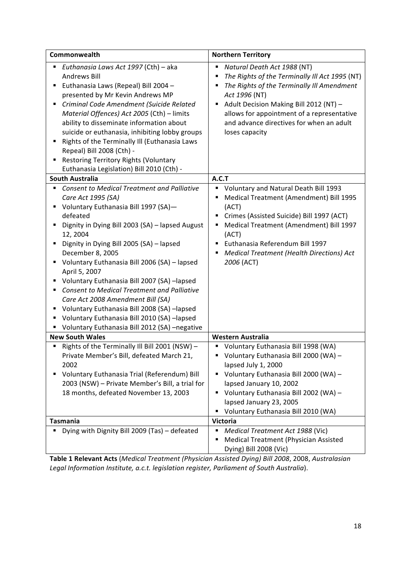| Commonwealth                                                                                                                                                                                                                                                                                                                                                                                                                                                                                                                                                                                                                                           | <b>Northern Territory</b>                                                                                                                                                                                                                                                                                 |
|--------------------------------------------------------------------------------------------------------------------------------------------------------------------------------------------------------------------------------------------------------------------------------------------------------------------------------------------------------------------------------------------------------------------------------------------------------------------------------------------------------------------------------------------------------------------------------------------------------------------------------------------------------|-----------------------------------------------------------------------------------------------------------------------------------------------------------------------------------------------------------------------------------------------------------------------------------------------------------|
| Euthanasia Laws Act 1997 (Cth) - aka<br>٠<br><b>Andrews Bill</b><br>Euthanasia Laws (Repeal) Bill 2004 -<br>presented by Mr Kevin Andrews MP<br>Criminal Code Amendment (Suicide Related<br>٠<br>Material Offences) Act 2005 (Cth) - limits<br>ability to disseminate information about<br>suicide or euthanasia, inhibiting lobby groups<br>Rights of the Terminally III (Euthanasia Laws<br>Repeal) Bill 2008 (Cth) -<br><b>Restoring Territory Rights (Voluntary</b>                                                                                                                                                                                | Natural Death Act 1988 (NT)<br>The Rights of the Terminally III Act 1995 (NT)<br>The Rights of the Terminally III Amendment<br>Act 1996 (NT)<br>Adult Decision Making Bill 2012 (NT) -<br>allows for appointment of a representative<br>and advance directives for when an adult<br>loses capacity        |
| Euthanasia Legislation) Bill 2010 (Cth) -<br><b>South Australia</b>                                                                                                                                                                                                                                                                                                                                                                                                                                                                                                                                                                                    | A.C.T                                                                                                                                                                                                                                                                                                     |
| <b>Consent to Medical Treatment and Palliative</b><br>٠<br>Care Act 1995 (SA)<br>Voluntary Euthanasia Bill 1997 (SA)-<br>٠<br>defeated<br>Dignity in Dying Bill 2003 (SA) - lapsed August<br>٠<br>12, 2004<br>Dignity in Dying Bill 2005 (SA) - lapsed<br>December 8, 2005<br>Voluntary Euthanasia Bill 2006 (SA) - lapsed<br>٠<br>April 5, 2007<br>Voluntary Euthanasia Bill 2007 (SA) - lapsed<br>٠<br><b>Consent to Medical Treatment and Palliative</b><br>٠<br>Care Act 2008 Amendment Bill (SA)<br>Voluntary Euthanasia Bill 2008 (SA) - lapsed<br>Voluntary Euthanasia Bill 2010 (SA) - lapsed<br>Voluntary Euthanasia Bill 2012 (SA) -negative | Voluntary and Natural Death Bill 1993<br>٠<br>Medical Treatment (Amendment) Bill 1995<br>(ACT)<br>Crimes (Assisted Suicide) Bill 1997 (ACT)<br>Medical Treatment (Amendment) Bill 1997<br>٠<br>(ACT)<br>Euthanasia Referendum Bill 1997<br><b>Medical Treatment (Health Directions) Act</b><br>2006 (ACT) |
| <b>New South Wales</b>                                                                                                                                                                                                                                                                                                                                                                                                                                                                                                                                                                                                                                 | <b>Western Australia</b>                                                                                                                                                                                                                                                                                  |
| Rights of the Terminally III Bill 2001 (NSW) -<br>Private Member's Bill, defeated March 21<br>2002<br>Voluntary Euthanasia Trial (Referendum) Bill<br>2003 (NSW) - Private Member's Bill, a trial for<br>18 months, defeated November 13, 2003                                                                                                                                                                                                                                                                                                                                                                                                         | Voluntary Euthanasia Bill 1998 (WA)<br>Voluntary Euthanasia Bill 2000 (WA) -<br>lapsed July 1, 2000<br>Voluntary Euthanasia Bill 2000 (WA) -<br>lapsed January 10, 2002<br>Voluntary Euthanasia Bill 2002 (WA) -<br>٠<br>lapsed January 23, 2005<br>Voluntary Euthanasia Bill 2010 (WA)                   |
| <b>Tasmania</b>                                                                                                                                                                                                                                                                                                                                                                                                                                                                                                                                                                                                                                        | <b>Victoria</b>                                                                                                                                                                                                                                                                                           |
| Dying with Dignity Bill 2009 (Tas) - defeated                                                                                                                                                                                                                                                                                                                                                                                                                                                                                                                                                                                                          | Medical Treatment Act 1988 (Vic)<br>п<br>Medical Treatment (Physician Assisted<br>Dying) Bill 2008 (Vic)                                                                                                                                                                                                  |

**Table 1 Relevant Acts** (Medical Treatment (Physician Assisted Dying) Bill 2008, 2008, Australasian Legal Information Institute, a.c.t. legislation register, Parliament of South Australia).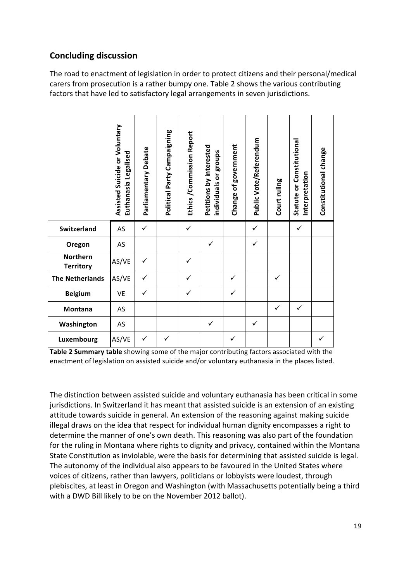## **Concluding discussion**

The road to enactment of legislation in order to protect citizens and their personal/medical carers from prosecution is a rather bumpy one. Table 2 shows the various contributing factors that have led to satisfactory legal arrangements in seven jurisdictions.

|                                     | Assisted Suicide or Voluntary<br>Euthanasia Legalised | Parliamentary Debate | Political Party Campaigning | Ethics / Commission Report | Petitions by interested<br><b>SLONDS</b><br>ŏ<br>individuals | of government<br>Change | Public Vote/Referendum | Court ruling | Statute or Constitutional<br>Interpretation | Constitutional change |
|-------------------------------------|-------------------------------------------------------|----------------------|-----------------------------|----------------------------|--------------------------------------------------------------|-------------------------|------------------------|--------------|---------------------------------------------|-----------------------|
| <b>Switzerland</b>                  | AS                                                    | $\checkmark$         |                             | $\checkmark$               |                                                              |                         | $\checkmark$           |              | ✓                                           |                       |
| Oregon                              | AS                                                    |                      |                             |                            | ✓                                                            |                         | ✓                      |              |                                             |                       |
| <b>Northern</b><br><b>Territory</b> | AS/VE                                                 | ✓                    |                             | ✓                          |                                                              |                         |                        |              |                                             |                       |
| <b>The Netherlands</b>              | AS/VE                                                 | ✓                    |                             | ✓                          |                                                              | ✓                       |                        | $\checkmark$ |                                             |                       |
| <b>Belgium</b>                      | <b>VE</b>                                             | ✓                    |                             | ✓                          |                                                              | ✓                       |                        |              |                                             |                       |
| Montana                             | AS                                                    |                      |                             |                            |                                                              |                         |                        | ✓            | ✓                                           |                       |
| Washington                          | AS                                                    |                      |                             |                            | ✓                                                            |                         | ✓                      |              |                                             |                       |
| Luxembourg                          | AS/VE                                                 | ✓                    | ✓                           |                            |                                                              | ✓                       |                        |              |                                             |                       |

**Table 2 Summary table** showing some of the major contributing factors associated with the enactment of legislation on assisted suicide and/or voluntary euthanasia in the places listed.

The distinction between assisted suicide and voluntary euthanasia has been critical in some jurisdictions. In Switzerland it has meant that assisted suicide is an extension of an existing attitude towards suicide in general. An extension of the reasoning against making suicide illegal draws on the idea that respect for individual human dignity encompasses a right to determine the manner of one's own death. This reasoning was also part of the foundation for the ruling in Montana where rights to dignity and privacy, contained within the Montana State Constitution as inviolable, were the basis for determining that assisted suicide is legal. The autonomy of the individual also appears to be favoured in the United States where voices of citizens, rather than lawyers, politicians or lobbyists were loudest, through plebiscites, at least in Oregon and Washington (with Massachusetts potentially being a third with a DWD Bill likely to be on the November 2012 ballot).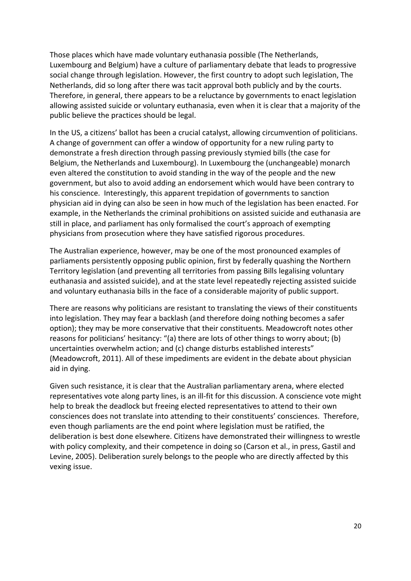Those places which have made voluntary euthanasia possible (The Netherlands, Luxembourg and Belgium) have a culture of parliamentary debate that leads to progressive social change through legislation. However, the first country to adopt such legislation, The Netherlands, did so long after there was tacit approval both publicly and by the courts. Therefore, in general, there appears to be a reluctance by governments to enact legislation allowing assisted suicide or voluntary euthanasia, even when it is clear that a majority of the public believe the practices should be legal.

In the US, a citizens' ballot has been a crucial catalyst, allowing circumvention of politicians. A change of government can offer a window of opportunity for a new ruling party to demonstrate a fresh direction through passing previously stymied bills (the case for Belgium, the Netherlands and Luxembourg). In Luxembourg the (unchangeable) monarch even altered the constitution to avoid standing in the way of the people and the new government, but also to avoid adding an endorsement which would have been contrary to his conscience. Interestingly, this apparent trepidation of governments to sanction physician aid in dying can also be seen in how much of the legislation has been enacted. For example, in the Netherlands the criminal prohibitions on assisted suicide and euthanasia are still in place, and parliament has only formalised the court's approach of exempting physicians from prosecution where they have satisfied rigorous procedures.

The Australian experience, however, may be one of the most pronounced examples of parliaments persistently opposing public opinion, first by federally quashing the Northern Territory legislation (and preventing all territories from passing Bills legalising voluntary euthanasia and assisted suicide), and at the state level repeatedly rejecting assisted suicide and voluntary euthanasia bills in the face of a considerable majority of public support.

There are reasons why politicians are resistant to translating the views of their constituents into legislation. They may fear a backlash (and therefore doing nothing becomes a safer option); they may be more conservative that their constituents. Meadowcroft notes other reasons for politicians' hesitancy: "(a) there are lots of other things to worry about; (b) uncertainties overwhelm action; and (c) change disturbs established interests" (Meadowcroft, 2011). All of these impediments are evident in the debate about physician aid in dying.

Given such resistance, it is clear that the Australian parliamentary arena, where elected representatives vote along party lines, is an ill-fit for this discussion. A conscience vote might help to break the deadlock but freeing elected representatives to attend to their own consciences does not translate into attending to their constituents' consciences. Therefore, even though parliaments are the end point where legislation must be ratified, the deliberation is best done elsewhere. Citizens have demonstrated their willingness to wrestle with policy complexity, and their competence in doing so (Carson et al., in press, Gastil and Levine, 2005). Deliberation surely belongs to the people who are directly affected by this vexing issue.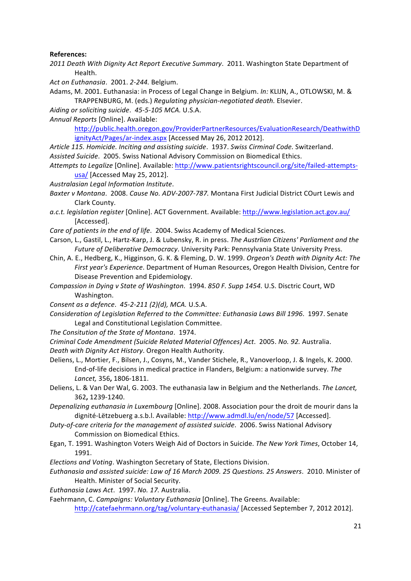#### **References:**

- 2011 Death With Dignity Act Report Executive Summary. 2011. Washington State Department of Health.
- Act on Euthanasia. 2001. 2-244. Belgium.
- Adams, M. 2001. Euthanasia: in Process of Legal Change in Belgium. *In:* KLIJN, A., OTLOWSKI, M. & TRAPPENBURG, M. (eds.) *Regulating physician-negotiated death.* Elsevier.
- *Aiding or soliciting suicide*. *45-5-105 MCA.* U.S.A.
- *Annual Reports* [Online]. Available:

http://public.health.oregon.gov/ProviderPartnerResources/EvaluationResearch/DeathwithD ignityAct/Pages/ar-index.aspx [Accessed May 26, 2012 2012].

- *Article 115. Homicide. Inciting and assisting suicide*. 1937. *Swiss Cirminal Code.* Switzerland. Assisted Suicide. 2005. Swiss National Advisory Commission on Biomedical Ethics.
- Attempts to Legalize [Online]. Available: http://www.patientsrightscouncil.org/site/failed-attemptsusa/ [Accessed May 25, 2012].
- *Australasian Legal Information Institute*.
- *Baxter v Montana.* 2008. *Cause No. ADV-2007-787.* Montana First Judicial District COurt Lewis and Clark County.
- a.c.t. *legislation register* [Online]. ACT Government. Available: http://www.legislation.act.gov.au/ [Accessed].
- *Care of patients in the end of life.* 2004. Swiss Academy of Medical Sciences.
- Carson, L., Gastil, L., Hartz-Karp, J. & Lubensky, R. in press. *The Austrlian Citizens' Parliament and the Future of Deliberative Democracy*. University Park: Pennsylvania State University Press.
- Chin, A. E., Hedberg, K., Higginson, G. K. & Fleming, D. W. 1999. *Orgeon's Death with Dignity Act: The* First year's Experience. Department of Human Resources, Oregon Health Division, Centre for Disease Prevention and Epidemiology.
- *Compassion in Dying v State of Washington.* 1994. 850 F. Supp 1454. U.S. Disctric Court, WD Washington.
- *Consent as a defence*. *45-2-211 (2)(d), MCA.* U.S.A.
- *Consideration of Legislation Referred to the Committee: Euthanasia Laws Bill 1996.* 1997. Senate Legal and Constitutional Legislation Committee.
- The Consitution of the State of Montana. 1974.
- *Criminal Code Amendment (Suicide Related Material Offences) Act.* 2005. No. 92. Australia. *Death with Dignity Act History*. Oregon Health Authority.
- Deliens, L., Mortier, F., Bilsen, J., Cosyns, M., Vander Stichele, R., Vanoverloop, J. & Ingels, K. 2000. End-of-life decisions in medical practice in Flanders, Belgium: a nationwide survey. The *Lancet,* 356**,** 1806-1811.
- Deliens, L. & Van Der Wal, G. 2003. The euthanasia law in Belgium and the Netherlands. The Lancet, 362**,** 1239-1240.
- *Depenalizing euthanasia in Luxembourg* [Online]. 2008. Association pour the droit de mourir dans la dignité-Lëtzebuerg a.s.b.l. Available: http://www.admdl.lu/en/node/57 [Accessed].
- Duty-of-care criteria for the management of assisted suicide. 2006. Swiss National Advisory Commission on Biomedical Ethics.
- Egan, T. 1991. Washington Voters Weigh Aid of Doctors in Suicide. The New York Times, October 14, 1991.
- *Elections and Voting*. Washington Secretary of State, Elections Division.
- *Euthanasia and assisted suicide: Law of 16 March 2009. 25 Questions. 25 Answers*. 2010. Minister of Health. Minister of Social Security.
- *Euthanasia Laws Act*. 1997. *No. 17.* Australia.
- Faehrmann, C. *Campaigns: Voluntary Euthanasia* [Online]. The Greens. Available: http://catefaehrmann.org/tag/voluntary-euthanasia/ [Accessed September 7, 2012 2012].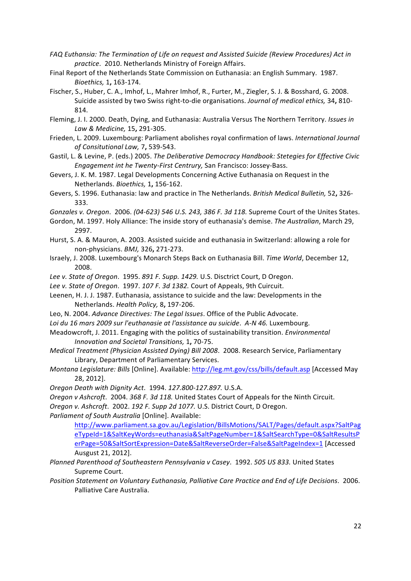- *FAQ Euthansia: The Termination of Life on request and Assisted Suicide (Review Procedures) Act in* practice. 2010. Netherlands Ministry of Foreign Affairs.
- Final Report of the Netherlands State Commission on Euthanasia: an English Summary. 1987. *Bioethics,* 1**,** 163-174.
- Fischer, S., Huber, C. A., Imhof, L., Mahrer Imhof, R., Furter, M., Ziegler, S. J. & Bosshard, G. 2008. Suicide assisted by two Swiss right-to-die organisations. *Journal of medical ethics*, 34, 810-814.
- Fleming, J. I. 2000. Death, Dying, and Euthanasia: Australia Versus The Northern Territory. *Issues in Law & Medicine,* 15**,** 291-305.
- Frieden, L. 2009. Luxembourg: Parliament abolishes royal confirmation of laws. *International Journal of Consitutional Law,* 7**,** 539-543.
- Gastil, L. & Levine, P. (eds.) 2005. *The Deliberative Democracy Handbook: Stetegies for Effective Civic Engagement int he Twenty-First Centrury,* San Francisco: Jossey-Bass.
- Gevers, J. K. M. 1987. Legal Developments Concerning Active Euthanasia on Request in the Netherlands. *Bioethics,* 1**,** 156-162.
- Gevers, S. 1996. Euthanasia: law and practice in The Netherlands. *British Medical Bulletin,* 52**,** 326- 333.

*Gonzales v. Oregon.* 2006. (04-623) 546 U.S. 243, 386 F. 3d 118. Supreme Court of the Unites States.

- Gordon, M. 1997. Holy Alliance: The inside story of euthanasia's demise. The Australian, March 29, 2997.
- Hurst, S. A. & Mauron, A. 2003. Assisted suicide and euthanasia in Switzerland: allowing a role for non-physicians. *BMJ,* 326**,** 271-273.
- Israely, J. 2008. Luxembourg's Monarch Steps Back on Euthanasia Bill. *Time World*, December 12, 2008.
- Lee v. State of Oregon. 1995. 891 F. Supp. 1429. U.S. Disctrict Court, D Oregon.
- *Lee* v. State of Oregon. 1997. 107 F. 3d 1382. Court of Appeals, 9th Cuircuit.
- Leenen, H. J. J. 1987. Euthanasia, assistance to suicide and the law: Developments in the Netherlands. *Health Policy,* 8**,** 197-206.
- Leo, N. 2004. *Advance Directives: The Legal Issues*. Office of the Public Advocate.
- Loi du 16 mars 2009 sur l'euthanasie at l'assistance au suicide. A-N 46. Luxembourg.
- Meadowcroft, J. 2011. Engaging with the politics of sustainability transition. *Environmental Innovation and Societal Transitions,* 1**,** 70-75.
- *Medical Treatment (Physician Assisted Dying) Bill 2008.* 2008. Research Service, Parliamentary Library, Department of Parliamentary Services.
- *Montana Legislature: Bills* [Online]. Available: http://leg.mt.gov/css/bills/default.asp [Accessed May 28, 2012].
- *Oregon Death with Dignity Act*. 1994. *127.800-127.897.* U.S.A.
- *Oregon v Ashcroft.* 2004. 368 F. 3d 118. United States Court of Appeals for the Ninth Circuit.
- *Oregon v. Ashcroft.* 2002. 192 F. Supp 2d 1077. U.S. District Court, D Oregon.
- *Parliament of South Australia* [Online]. Available:
	- http://www.parliament.sa.gov.au/Legislation/BillsMotions/SALT/Pages/default.aspx?SaltPag eTypeId=1&SaltKeyWords=euthanasia&SaltPageNumber=1&SaltSearchType=0&SaltResultsP erPage=50&SaltSortExpression=Date&SaltReverseOrder=False&SaltPageIndex=1 [Accessed Ausgust 21, 2012].
- *Planned Parenthood of Southeastern Pennsylvania v Casey.* 1992. 505 US 833. United States Supreme Court.
- Position Statement on Voluntary Euthanasia, Palliative Care Practice and End of Life Decisions. 2006. Palliative Care Australia.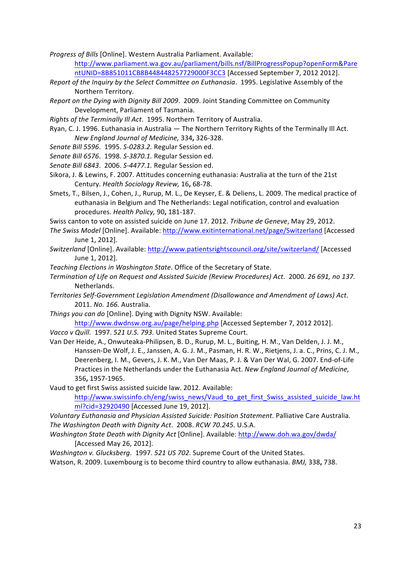*Progress of Bills* [Online]. Western Australia Parliament. Available:

http://www.parliament.wa.gov.au/parliament/bills.nsf/BillProgressPopup?openForm&Pare ntUNID=8B851011CB8B448448257729000F3CC3 [Accessed September 7, 2012 2012].

- *Report of the Inquiry by the Select Committee on Euthanasia.* 1995. Legislative Assembly of the Northern Territory.
- *Report on the Dying with Dignity Bill 2009.* 2009. Joint Standing Committee on Community Development, Parliament of Tasmania.
- *Rights of the Terminally III Act.* 1995. Northern Territory of Australia.
- Ryan, C. J. 1996. Euthanasia in Australia The Northern Territory Rights of the Terminally III Act. *New England Journal of Medicine,* 334**,** 326-328.
- *Senate Bill 5596.* 1995. S-0283.2. Regular Session ed.
- *Senate Bill 6576.* 1998. *S-3870.1.* Regular Session ed.
- *Senate Bill 6843.* 2006. S-4477.1. Regular Session ed.
- Sikora, J. & Lewins, F. 2007. Attitudes concerning euthanasia: Australia at the turn of the 21st Century. *Health Sociology Review,* 16**,** 68-78.
- Smets, T., Bilsen, J., Cohen, J., Rurup, M. L., De Keyser, E. & Deliens, L. 2009. The medical practice of euthanasia in Belgium and The Netherlands: Legal notification, control and evaluation procedures. *Health Policy,* 90**,** 181-187.

Swiss canton to vote on assisted suicide on June 17. 2012. *Tribune de Geneve*, May 29, 2012.

- The Swiss Model [Online]. Available: http://www.exitinternational.net/page/Switzerland [Accessed June 1, 2012].
- Switzerland [Online]. Available: http://www.patientsrightscouncil.org/site/switzerland/ [Accessed June 1, 2012].
- Teaching Elections in Washington State. Office of the Secretary of State.
- *Termination of Life on Request and Assisted Suicide (Review Procedures) Act*. 2000. *26 691, no 137.* Netherlands.
- Territories Self-Government Legislation Amendment (Disallowance and Amendment of Laws) Act. 2011. *No. 166.* Australia.
- *Things you can do* [Online]. Dying with Dignity NSW. Available: http://www.dwdnsw.org.au/page/helping.php [Accessed September 7, 2012 2012].
- *Vacco v Quill.* 1997. 521 U.S. 793. United States Supreme Court.
- Van Der Heide, A., Onwuteaka-Philipsen, B. D., Rurup, M. L., Buiting, H. M., Van Delden, J. J. M., Hanssen-De Wolf, J. E., Janssen, A. G. J. M., Pasman, H. R. W., Rietjens, J. a. C., Prins, C. J. M., Deerenberg, I. M., Gevers, J. K. M., Van Der Maas, P. J. & Van Der Wal, G. 2007. End-of-Life Practices in the Netherlands under the Euthanasia Act. *New England Journal of Medicine*, 356**,** 1957-1965.

Vaud to get first Swiss assisted suicide law. 2012. Available:

http://www.swissinfo.ch/eng/swiss\_news/Vaud\_to\_get\_first\_Swiss\_assisted\_suicide\_law.ht ml?cid=32920490 [Accessed June 19, 2012].

*Voluntary Euthanasia and Physician Assisted Suicide: Position Statement. Palliative Care Australia. The Washington Death with Dignity Act*. 2008. *RCW 70.245.* U.S.A.

*Washington State Death with Dignity Act* [Online]. Available: http://www.doh.wa.gov/dwda/ [Accessed May 26, 2012].

*Washington v. Glucksberg.* 1997. 521 US 702. Supreme Court of the United States.

Watson, R. 2009. Luxembourg is to become third country to allow euthanasia. *BMJ*, 338, 738.